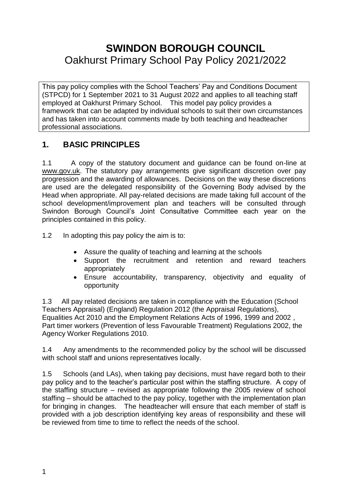# **SWINDON BOROUGH COUNCIL** Oakhurst Primary School Pay Policy 2021/2022

This pay policy complies with the School Teachers' Pay and Conditions Document (STPCD) for 1 September 2021 to 31 August 2022 and applies to all teaching staff employed at Oakhurst Primary School. This model pay policy provides a framework that can be adapted by individual schools to suit their own circumstances and has taken into account comments made by both teaching and headteacher professional associations.

# **1. BASIC PRINCIPLES**

1.1 A copy of the statutory document and guidance can be found on-line at [www.gov.uk.](http://www.gov.uk/) The statutory pay arrangements give significant discretion over pay progression and the awarding of allowances. Decisions on the way these discretions are used are the delegated responsibility of the Governing Body advised by the Head when appropriate. All pay-related decisions are made taking full account of the school development/improvement plan and teachers will be consulted through Swindon Borough Council's Joint Consultative Committee each year on the principles contained in this policy.

1.2 In adopting this pay policy the aim is to:

- Assure the quality of teaching and learning at the schools
- Support the recruitment and retention and reward teachers appropriately
- Ensure accountability, transparency, objectivity and equality of opportunity

1.3 All pay related decisions are taken in compliance with the Education (School Teachers Appraisal) (England) Regulation 2012 (the Appraisal Regulations), Equalities Act 2010 and the Employment Relations Acts of 1996, 1999 and 2002 , Part timer workers (Prevention of less Favourable Treatment) Regulations 2002, the Agency Worker Regulations 2010.

1.4 Any amendments to the recommended policy by the school will be discussed with school staff and unions representatives locally.

1.5 Schools (and LAs), when taking pay decisions, must have regard both to their pay policy and to the teacher's particular post within the staffing structure. A copy of the staffing structure – revised as appropriate following the 2005 review of school staffing – should be attached to the pay policy, together with the implementation plan for bringing in changes. The headteacher will ensure that each member of staff is provided with a job description identifying key areas of responsibility and these will be reviewed from time to time to reflect the needs of the school.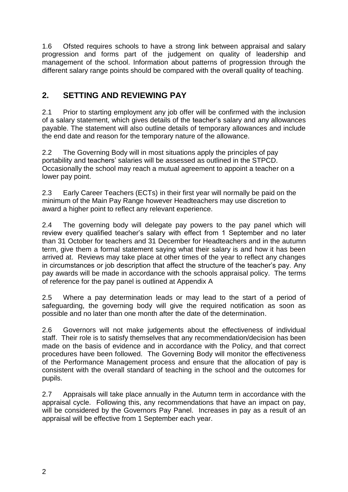1.6 Ofsted requires schools to have a strong link between appraisal and salary progression and forms part of the judgement on quality of leadership and management of the school. Information about patterns of progression through the different salary range points should be compared with the overall quality of teaching.

# **2. SETTING AND REVIEWING PAY**

2.1 Prior to starting employment any job offer will be confirmed with the inclusion of a salary statement, which gives details of the teacher's salary and any allowances payable. The statement will also outline details of temporary allowances and include the end date and reason for the temporary nature of the allowance.

2.2 The Governing Body will in most situations apply the principles of pay portability and teachers' salaries will be assessed as outlined in the STPCD. Occasionally the school may reach a mutual agreement to appoint a teacher on a lower pay point.

2.3 Early Career Teachers (ECTs) in their first year will normally be paid on the minimum of the Main Pay Range however Headteachers may use discretion to award a higher point to reflect any relevant experience.

2.4 The governing body will delegate pay powers to the pay panel which will review every qualified teacher's salary with effect from 1 September and no later than 31 October for teachers and 31 December for Headteachers and in the autumn term, give them a formal statement saying what their salary is and how it has been arrived at. Reviews may take place at other times of the year to reflect any changes in circumstances or job description that affect the structure of the teacher's pay. Any pay awards will be made in accordance with the schools appraisal policy. The terms of reference for the pay panel is outlined at Appendix A

2.5 Where a pay determination leads or may lead to the start of a period of safeguarding, the governing body will give the required notification as soon as possible and no later than one month after the date of the determination.

2.6 Governors will not make judgements about the effectiveness of individual staff. Their role is to satisfy themselves that any recommendation/decision has been made on the basis of evidence and in accordance with the Policy, and that correct procedures have been followed. The Governing Body will monitor the effectiveness of the Performance Management process and ensure that the allocation of pay is consistent with the overall standard of teaching in the school and the outcomes for pupils.

2.7 Appraisals will take place annually in the Autumn term in accordance with the appraisal cycle. Following this, any recommendations that have an impact on pay, will be considered by the Governors Pay Panel. Increases in pay as a result of an appraisal will be effective from 1 September each year.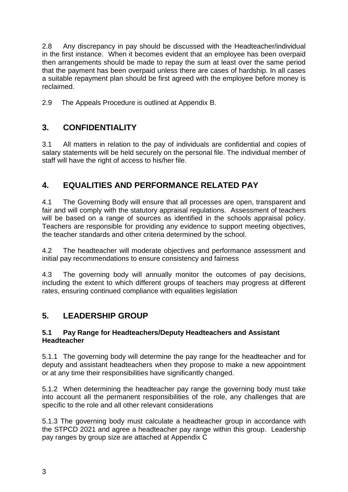2.8 Any discrepancy in pay should be discussed with the Headteacher/individual in the first instance. When it becomes evident that an employee has been overpaid then arrangements should be made to repay the sum at least over the same period that the payment has been overpaid unless there are cases of hardship. In all cases a suitable repayment plan should be first agreed with the employee before money is reclaimed.

2.9 The Appeals Procedure is outlined at Appendix B.

# **3. CONFIDENTIALITY**

3.1 All matters in relation to the pay of individuals are confidential and copies of salary statements will be held securely on the personal file. The individual member of staff will have the right of access to his/her file.

# **4. EQUALITIES AND PERFORMANCE RELATED PAY**

4.1 The Governing Body will ensure that all processes are open, transparent and fair and will comply with the statutory appraisal regulations. Assessment of teachers will be based on a range of sources as identified in the schools appraisal policy. Teachers are responsible for providing any evidence to support meeting objectives, the teacher standards and other criteria determined by the school.

4.2 The headteacher will moderate objectives and performance assessment and initial pay recommendations to ensure consistency and fairness

4.3 The governing body will annually monitor the outcomes of pay decisions, including the extent to which different groups of teachers may progress at different rates, ensuring continued compliance with equalities legislation

# **5. LEADERSHIP GROUP**

#### **5.1 Pay Range for Headteachers/Deputy Headteachers and Assistant Headteacher**

5.1.1 The governing body will determine the pay range for the headteacher and for deputy and assistant headteachers when they propose to make a new appointment or at any time their responsibilities have significantly changed.

5.1.2 When determining the headteacher pay range the governing body must take into account all the permanent responsibilities of the role, any challenges that are specific to the role and all other relevant considerations

5.1.3 The governing body must calculate a headteacher group in accordance with the STPCD 2021 and agree a headteacher pay range within this group. Leadership pay ranges by group size are attached at Appendix C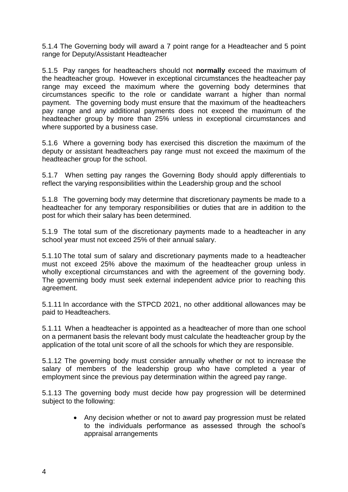5.1.4 The Governing body will award a 7 point range for a Headteacher and 5 point range for Deputy/Assistant Headteacher

5.1.5 Pay ranges for headteachers should not **normally** exceed the maximum of the headteacher group. However in exceptional circumstances the headteacher pay range may exceed the maximum where the governing body determines that circumstances specific to the role or candidate warrant a higher than normal payment. The governing body must ensure that the maximum of the headteachers pay range and any additional payments does not exceed the maximum of the headteacher group by more than 25% unless in exceptional circumstances and where supported by a business case.

5.1.6 Where a governing body has exercised this discretion the maximum of the deputy or assistant headteachers pay range must not exceed the maximum of the headteacher group for the school.

5.1.7 When setting pay ranges the Governing Body should apply differentials to reflect the varying responsibilities within the Leadership group and the school

5.1.8 The governing body may determine that discretionary payments be made to a headteacher for any temporary responsibilities or duties that are in addition to the post for which their salary has been determined.

5.1.9 The total sum of the discretionary payments made to a headteacher in any school year must not exceed 25% of their annual salary.

5.1.10 The total sum of salary and discretionary payments made to a headteacher must not exceed 25% above the maximum of the headteacher group unless in wholly exceptional circumstances and with the agreement of the governing body. The governing body must seek external independent advice prior to reaching this agreement.

5.1.11 In accordance with the STPCD 2021, no other additional allowances may be paid to Headteachers.

5.1.11 When a headteacher is appointed as a headteacher of more than one school on a permanent basis the relevant body must calculate the headteacher group by the application of the total unit score of all the schools for which they are responsible.

5.1.12 The governing body must consider annually whether or not to increase the salary of members of the leadership group who have completed a year of employment since the previous pay determination within the agreed pay range.

5.1.13 The governing body must decide how pay progression will be determined subject to the following:

> • Any decision whether or not to award pay progression must be related to the individuals performance as assessed through the school's appraisal arrangements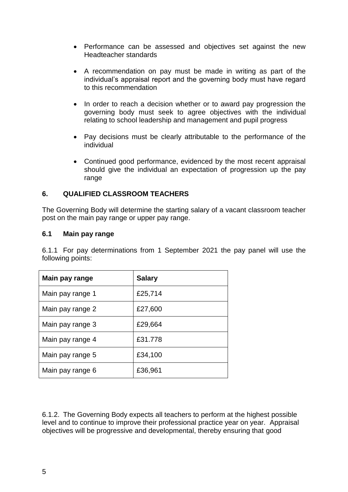- Performance can be assessed and objectives set against the new Headteacher standards
- A recommendation on pay must be made in writing as part of the individual's appraisal report and the governing body must have regard to this recommendation
- In order to reach a decision whether or to award pay progression the governing body must seek to agree objectives with the individual relating to school leadership and management and pupil progress
- Pay decisions must be clearly attributable to the performance of the individual
- Continued good performance, evidenced by the most recent appraisal should give the individual an expectation of progression up the pay range

#### **6. QUALIFIED CLASSROOM TEACHERS**

The Governing Body will determine the starting salary of a vacant classroom teacher post on the main pay range or upper pay range.

#### **6.1 Main pay range**

6.1.1 For pay determinations from 1 September 2021 the pay panel will use the following points:

| Main pay range   | <b>Salary</b> |
|------------------|---------------|
| Main pay range 1 | £25,714       |
| Main pay range 2 | £27,600       |
| Main pay range 3 | £29,664       |
| Main pay range 4 | £31.778       |
| Main pay range 5 | £34,100       |
| Main pay range 6 | £36,961       |

6.1.2. The Governing Body expects all teachers to perform at the highest possible level and to continue to improve their professional practice year on year. Appraisal objectives will be progressive and developmental, thereby ensuring that good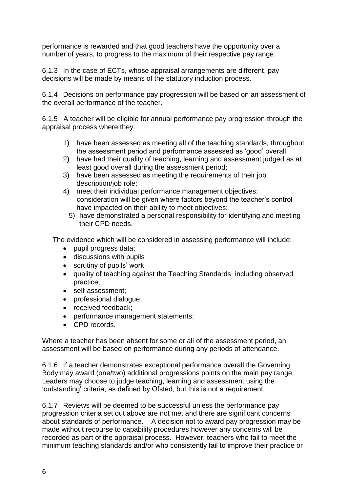performance is rewarded and that good teachers have the opportunity over a number of years, to progress to the maximum of their respective pay range.

6.1.3 In the case of ECTs, whose appraisal arrangements are different, pay decisions will be made by means of the statutory induction process.

6.1.4 Decisions on performance pay progression will be based on an assessment of the overall performance of the teacher.

6.1.5 A teacher will be eligible for annual performance pay progression through the appraisal process where they:

- 1) have been assessed as meeting all of the teaching standards, throughout the assessment period and performance assessed as 'good' overall
- 2) have had their quality of teaching, learning and assessment judged as at least good overall during the assessment period;
- 3) have been assessed as meeting the requirements of their job description/job role;
- 4) meet their individual performance management objectives; consideration will be given where factors beyond the teacher's control have impacted on their ability to meet objectives;
	- 5) have demonstrated a personal responsibility for identifying and meeting their CPD needs.

The evidence which will be considered in assessing performance will include:

- pupil progress data;
- discussions with pupils
- scrutiny of pupils' work
- quality of teaching against the Teaching Standards, including observed practice;
- self-assessment;
- professional dialogue;
- received feedback;
- performance management statements;
- CPD records.

Where a teacher has been absent for some or all of the assessment period, an assessment will be based on performance during any periods of attendance.

6.1.6 If a teacher demonstrates exceptional performance overall the Governing Body may award (one/two) additional progressions points on the main pay range. Leaders may choose to judge teaching, learning and assessment using the 'outstanding' criteria, as defined by Ofsted, but this is not a requirement.

6.1.7 Reviews will be deemed to be successful unless the performance pay progression criteria set out above are not met and there are significant concerns about standards of performance. A decision not to award pay progression may be made without recourse to capability procedures however any concerns will be recorded as part of the appraisal process. However, teachers who fail to meet the minimum teaching standards and/or who consistently fail to improve their practice or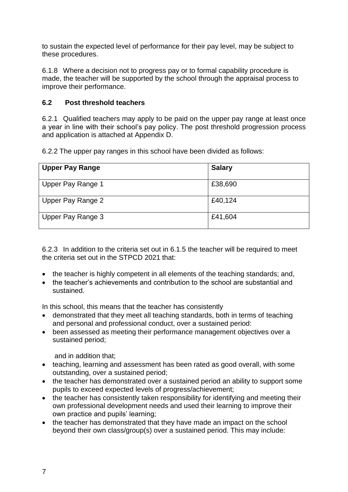to sustain the expected level of performance for their pay level, may be subject to these procedures.

6.1.8 Where a decision not to progress pay or to formal capability procedure is made, the teacher will be supported by the school through the appraisal process to improve their performance.

#### **6.2 Post threshold teachers**

6.2.1 Qualified teachers may apply to be paid on the upper pay range at least once a year in line with their school's pay policy. The post threshold progression process and application is attached at Appendix D.

6.2.2 The upper pay ranges in this school have been divided as follows:

| <b>Upper Pay Range</b> | <b>Salary</b> |
|------------------------|---------------|
| Upper Pay Range 1      | £38,690       |
| Upper Pay Range 2      | £40,124       |
| Upper Pay Range 3      | £41,604       |

6.2.3 In addition to the criteria set out in 6.1.5 the teacher will be required to meet the criteria set out in the STPCD 2021 that:

- the teacher is highly competent in all elements of the teaching standards; and,
- the teacher's achievements and contribution to the school are substantial and sustained.

In this school, this means that the teacher has consistently

- demonstrated that they meet all teaching standards, both in terms of teaching and personal and professional conduct, over a sustained period:
- been assessed as meeting their performance management objectives over a sustained period;

and in addition that;

- teaching, learning and assessment has been rated as good overall, with some outstanding, over a sustained period;
- the teacher has demonstrated over a sustained period an ability to support some pupils to exceed expected levels of progress/achievement;
- the teacher has consistently taken responsibility for identifying and meeting their own professional development needs and used their learning to improve their own practice and pupils' learning;
- the teacher has demonstrated that they have made an impact on the school beyond their own class/group(s) over a sustained period. This may include: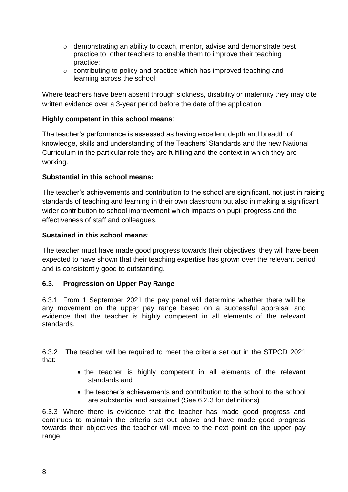- o demonstrating an ability to coach, mentor, advise and demonstrate best practice to, other teachers to enable them to improve their teaching practice;
- $\circ$  contributing to policy and practice which has improved teaching and learning across the school;

Where teachers have been absent through sickness, disability or maternity they may cite written evidence over a 3-year period before the date of the application

#### **Highly competent in this school means**:

The teacher's performance is assessed as having excellent depth and breadth of knowledge, skills and understanding of the Teachers' Standards and the new National Curriculum in the particular role they are fulfilling and the context in which they are working.

#### **Substantial in this school means:**

The teacher's achievements and contribution to the school are significant, not just in raising standards of teaching and learning in their own classroom but also in making a significant wider contribution to school improvement which impacts on pupil progress and the effectiveness of staff and colleagues.

#### **Sustained in this school means**:

The teacher must have made good progress towards their objectives; they will have been expected to have shown that their teaching expertise has grown over the relevant period and is consistently good to outstanding.

### **6.3. Progression on Upper Pay Range**

6.3.1 From 1 September 2021 the pay panel will determine whether there will be any movement on the upper pay range based on a successful appraisal and evidence that the teacher is highly competent in all elements of the relevant standards.

6.3.2 The teacher will be required to meet the criteria set out in the STPCD 2021 that:

- the teacher is highly competent in all elements of the relevant standards and
- the teacher's achievements and contribution to the school to the school are substantial and sustained (See 6.2.3 for definitions)

6.3.3 Where there is evidence that the teacher has made good progress and continues to maintain the criteria set out above and have made good progress towards their objectives the teacher will move to the next point on the upper pay range.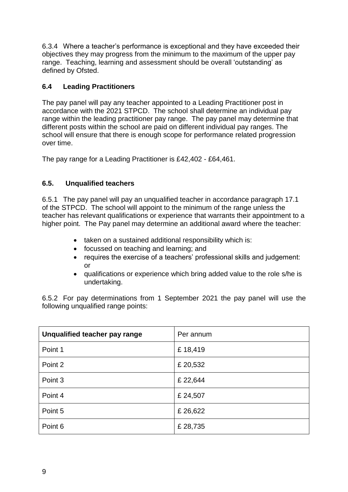6.3.4 Where a teacher's performance is exceptional and they have exceeded their objectives they may progress from the minimum to the maximum of the upper pay range. Teaching, learning and assessment should be overall 'outstanding' as defined by Ofsted.

### **6.4 Leading Practitioners**

The pay panel will pay any teacher appointed to a Leading Practitioner post in accordance with the 2021 STPCD. The school shall determine an individual pay range within the leading practitioner pay range. The pay panel may determine that different posts within the school are paid on different individual pay ranges. The school will ensure that there is enough scope for performance related progression over time.

The pay range for a Leading Practitioner is £42,402 - £64,461.

### **6.5. Unqualified teachers**

6.5.1 The pay panel will pay an unqualified teacher in accordance paragraph 17.1 of the STPCD. The school will appoint to the minimum of the range unless the teacher has relevant qualifications or experience that warrants their appointment to a higher point. The Pay panel may determine an additional award where the teacher:

- taken on a sustained additional responsibility which is:
- focussed on teaching and learning; and
- requires the exercise of a teachers' professional skills and judgement: or
- qualifications or experience which bring added value to the role s/he is undertaking.

6.5.2 For pay determinations from 1 September 2021 the pay panel will use the following unqualified range points:

| Unqualified teacher pay range | Per annum |
|-------------------------------|-----------|
| Point 1                       | £18,419   |
| Point 2                       | £ 20,532  |
| Point 3                       | £ 22,644  |
| Point 4                       | £ 24,507  |
| Point 5                       | £26,622   |
| Point 6                       | £ 28,735  |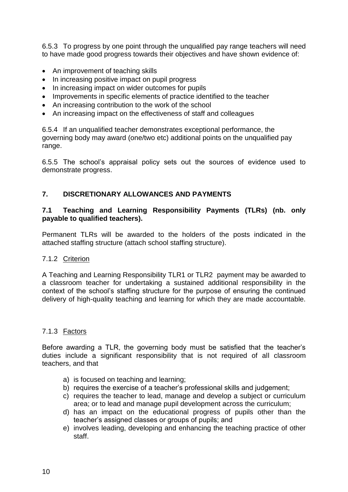6.5.3 To progress by one point through the unqualified pay range teachers will need to have made good progress towards their objectives and have shown evidence of:

- An improvement of teaching skills
- In increasing positive impact on pupil progress
- In increasing impact on wider outcomes for pupils
- Improvements in specific elements of practice identified to the teacher
- An increasing contribution to the work of the school
- An increasing impact on the effectiveness of staff and colleagues

6.5.4 If an unqualified teacher demonstrates exceptional performance, the governing body may award (one/two etc) additional points on the unqualified pay range.

6.5.5 The school's appraisal policy sets out the sources of evidence used to demonstrate progress.

#### **7. DISCRETIONARY ALLOWANCES AND PAYMENTS**

#### **7.1 Teaching and Learning Responsibility Payments (TLRs) (nb. only payable to qualified teachers).**

Permanent TLRs will be awarded to the holders of the posts indicated in the attached staffing structure (attach school staffing structure).

#### 7.1.2 Criterion

A Teaching and Learning Responsibility TLR1 or TLR2 payment may be awarded to a classroom teacher for undertaking a sustained additional responsibility in the context of the school's staffing structure for the purpose of ensuring the continued delivery of high-quality teaching and learning for which they are made accountable.

#### 7.1.3 Factors

Before awarding a TLR, the governing body must be satisfied that the teacher's duties include a significant responsibility that is not required of all classroom teachers, and that

- a) is focused on teaching and learning;
- b) requires the exercise of a teacher's professional skills and judgement;
- c) requires the teacher to lead, manage and develop a subject or curriculum area; or to lead and manage pupil development across the curriculum;
- d) has an impact on the educational progress of pupils other than the teacher's assigned classes or groups of pupils; and
- e) involves leading, developing and enhancing the teaching practice of other staff.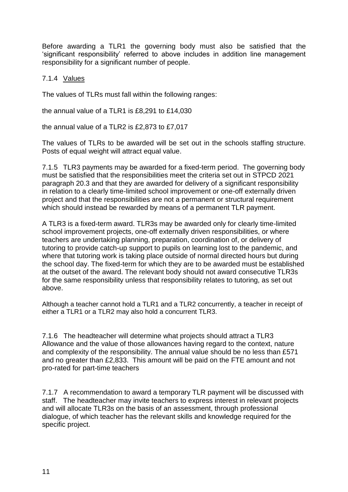Before awarding a TLR1 the governing body must also be satisfied that the 'significant responsibility' referred to above includes in addition line management responsibility for a significant number of people.

#### 7.1.4 Values

The values of TLRs must fall within the following ranges:

the annual value of a TLR1 is £8,291 to £14,030

the annual value of a TLR2 is £2,873 to £7,017

The values of TLRs to be awarded will be set out in the schools staffing structure. Posts of equal weight will attract equal value.

7.1.5 TLR3 payments may be awarded for a fixed-term period. The governing body must be satisfied that the responsibilities meet the criteria set out in STPCD 2021 paragraph 20.3 and that they are awarded for delivery of a significant responsibility in relation to a clearly time-limited school improvement or one-off externally driven project and that the responsibilities are not a permanent or structural requirement which should instead be rewarded by means of a permanent TLR payment.

A TLR3 is a fixed-term award. TLR3s may be awarded only for clearly time-limited school improvement projects, one-off externally driven responsibilities, or where teachers are undertaking planning, preparation, coordination of, or delivery of tutoring to provide catch-up support to pupils on learning lost to the pandemic, and where that tutoring work is taking place outside of normal directed hours but during the school day. The fixed-term for which they are to be awarded must be established at the outset of the award. The relevant body should not award consecutive TLR3s for the same responsibility unless that responsibility relates to tutoring, as set out above.

Although a teacher cannot hold a TLR1 and a TLR2 concurrently, a teacher in receipt of either a TLR1 or a TLR2 may also hold a concurrent TLR3.

7.1.6 The headteacher will determine what projects should attract a TLR3 Allowance and the value of those allowances having regard to the context, nature and complexity of the responsibility. The annual value should be no less than £571 and no greater than £2,833. This amount will be paid on the FTE amount and not pro-rated for part-time teachers

7.1.7 A recommendation to award a temporary TLR payment will be discussed with staff. The headteacher may invite teachers to express interest in relevant projects and will allocate TLR3s on the basis of an assessment, through professional dialogue, of which teacher has the relevant skills and knowledge required for the specific project.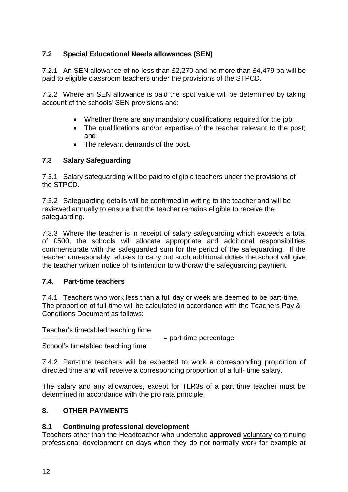### **7.2 Special Educational Needs allowances (SEN)**

7.2.1 An SEN allowance of no less than £2,270 and no more than £4,479 pa will be paid to eligible classroom teachers under the provisions of the STPCD.

7.2.2 Where an SEN allowance is paid the spot value will be determined by taking account of the schools' SEN provisions and:

- Whether there are any mandatory qualifications required for the job
- The qualifications and/or expertise of the teacher relevant to the post; and
- The relevant demands of the post.

#### **7.3 Salary Safeguarding**

7.3.1 Salary safeguarding will be paid to eligible teachers under the provisions of the STPCD.

7.3.2 Safeguarding details will be confirmed in writing to the teacher and will be reviewed annually to ensure that the teacher remains eligible to receive the safeguarding.

7.3.3 Where the teacher is in receipt of salary safeguarding which exceeds a total of £500, the schools will allocate appropriate and additional responsibilities commensurate with the safeguarded sum for the period of the safeguarding. If the teacher unreasonably refuses to carry out such additional duties the school will give the teacher written notice of its intention to withdraw the safeguarding payment.

#### **7.4**. **Part-time teachers**

7.4.1 Teachers who work less than a full day or week are deemed to be part-time. The proportion of full-time will be calculated in accordance with the Teachers Pay & Conditions Document as follows:

Teacher's timetabled teaching time

 $=$  part-time percentage School's timetabled teaching time

7.4.2 Part-time teachers will be expected to work a corresponding proportion of directed time and will receive a corresponding proportion of a full- time salary.

The salary and any allowances, except for TLR3s of a part time teacher must be determined in accordance with the pro rata principle.

#### **8. OTHER PAYMENTS**

#### **8.1 Continuing professional development**

Teachers other than the Headteacher who undertake **approved** voluntary continuing professional development on days when they do not normally work for example at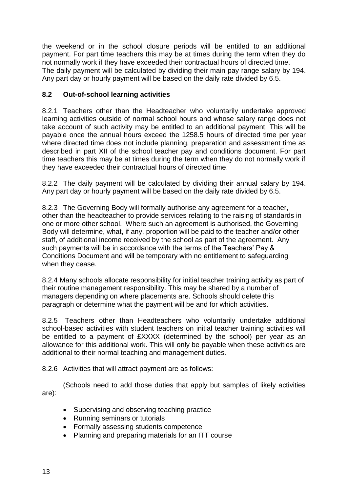the weekend or in the school closure periods will be entitled to an additional payment. For part time teachers this may be at times during the term when they do not normally work if they have exceeded their contractual hours of directed time. The daily payment will be calculated by dividing their main pay range salary by 194. Any part day or hourly payment will be based on the daily rate divided by 6.5.

#### **8.2 Out-of-school learning activities**

8.2.1 Teachers other than the Headteacher who voluntarily undertake approved learning activities outside of normal school hours and whose salary range does not take account of such activity may be entitled to an additional payment. This will be payable once the annual hours exceed the 1258.5 hours of directed time per year where directed time does not include planning, preparation and assessment time as described in part XII of the school teacher pay and conditions document. For part time teachers this may be at times during the term when they do not normally work if they have exceeded their contractual hours of directed time.

8.2.2 The daily payment will be calculated by dividing their annual salary by 194. Any part day or hourly payment will be based on the daily rate divided by 6.5.

8.2.3 The Governing Body will formally authorise any agreement for a teacher, other than the headteacher to provide services relating to the raising of standards in one or more other school. Where such an agreement is authorised, the Governing Body will determine, what, if any, proportion will be paid to the teacher and/or other staff, of additional income received by the school as part of the agreement. Any such payments will be in accordance with the terms of the Teachers' Pay & Conditions Document and will be temporary with no entitlement to safeguarding when they cease.

8.2.4 Many schools allocate responsibility for initial teacher training activity as part of their routine management responsibility. This may be shared by a number of managers depending on where placements are. Schools should delete this paragraph or determine what the payment will be and for which activities.

8.2.5 Teachers other than Headteachers who voluntarily undertake additional school-based activities with student teachers on initial teacher training activities will be entitled to a payment of £XXXX (determined by the school) per year as an allowance for this additional work. This will only be payable when these activities are additional to their normal teaching and management duties.

8.2.6 Activities that will attract payment are as follows:

(Schools need to add those duties that apply but samples of likely activities are):

- Supervising and observing teaching practice
- Running seminars or tutorials
- Formally assessing students competence
- Planning and preparing materials for an ITT course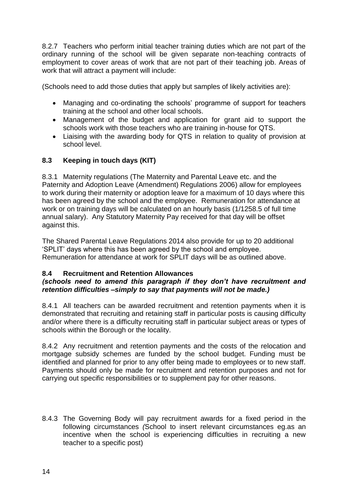8.2.7 Teachers who perform initial teacher training duties which are not part of the ordinary running of the school will be given separate non-teaching contracts of employment to cover areas of work that are not part of their teaching job. Areas of work that will attract a payment will include:

(Schools need to add those duties that apply but samples of likely activities are):

- Managing and co-ordinating the schools' programme of support for teachers training at the school and other local schools.
- Management of the budget and application for grant aid to support the schools work with those teachers who are training in-house for QTS.
- Liaising with the awarding body for QTS in relation to quality of provision at school level.

#### **8.3 Keeping in touch days (KIT)**

8.3.1 Maternity regulations (The Maternity and Parental Leave etc. and the Paternity and Adoption Leave (Amendment) Regulations 2006) allow for employees to work during their maternity or adoption leave for a maximum of 10 days where this has been agreed by the school and the employee. Remuneration for attendance at work or on training days will be calculated on an hourly basis (1/1258.5 of full time annual salary). Any Statutory Maternity Pay received for that day will be offset against this.

The Shared Parental Leave Regulations 2014 also provide for up to 20 additional 'SPLIT' days where this has been agreed by the school and employee. Remuneration for attendance at work for SPLIT days will be as outlined above.

#### **8.4 Recruitment and Retention Allowances**

#### *(schools need to amend this paragraph if they don't have recruitment and retention difficulties –simply to say that payments will not be made.)*

8.4.1 All teachers can be awarded recruitment and retention payments when it is demonstrated that recruiting and retaining staff in particular posts is causing difficulty and/or where there is a difficulty recruiting staff in particular subject areas or types of schools within the Borough or the locality.

8.4.2 Any recruitment and retention payments and the costs of the relocation and mortgage subsidy schemes are funded by the school budget. Funding must be identified and planned for prior to any offer being made to employees or to new staff. Payments should only be made for recruitment and retention purposes and not for carrying out specific responsibilities or to supplement pay for other reasons.

8.4.3 The Governing Body will pay recruitment awards for a fixed period in the following circumstances *(*School to insert relevant circumstances eg.as an incentive when the school is experiencing difficulties in recruiting a new teacher to a specific post)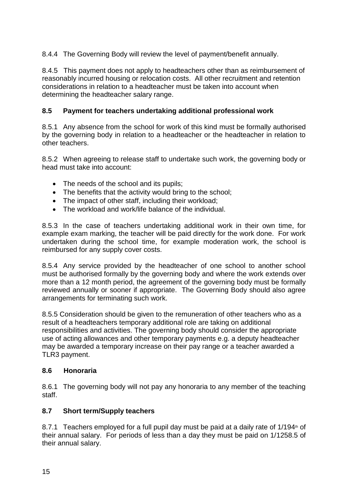8.4.4 The Governing Body will review the level of payment/benefit annually.

8.4.5 This payment does not apply to headteachers other than as reimbursement of reasonably incurred housing or relocation costs. All other recruitment and retention considerations in relation to a headteacher must be taken into account when determining the headteacher salary range.

#### **8.5 Payment for teachers undertaking additional professional work**

8.5.1 Any absence from the school for work of this kind must be formally authorised by the governing body in relation to a headteacher or the headteacher in relation to other teachers.

8.5.2 When agreeing to release staff to undertake such work, the governing body or head must take into account:

- The needs of the school and its pupils;
- The benefits that the activity would bring to the school;
- The impact of other staff, including their workload;
- The workload and work/life balance of the individual.

8.5.3 In the case of teachers undertaking additional work in their own time, for example exam marking, the teacher will be paid directly for the work done. For work undertaken during the school time, for example moderation work, the school is reimbursed for any supply cover costs.

8.5.4 Any service provided by the headteacher of one school to another school must be authorised formally by the governing body and where the work extends over more than a 12 month period, the agreement of the governing body must be formally reviewed annually or sooner if appropriate. The Governing Body should also agree arrangements for terminating such work.

8.5.5 Consideration should be given to the remuneration of other teachers who as a result of a headteachers temporary additional role are taking on additional responsibilities and activities. The governing body should consider the appropriate use of acting allowances and other temporary payments e.g. a deputy headteacher may be awarded a temporary increase on their pay range or a teacher awarded a TLR3 payment.

#### **8.6 Honoraria**

8.6.1 The governing body will not pay any honoraria to any member of the teaching staff.

#### **8.7 Short term/Supply teachers**

8.7.1 Teachers employed for a full pupil day must be paid at a daily rate of 1/194<sup>th</sup> of their annual salary. For periods of less than a day they must be paid on 1/1258.5 of their annual salary.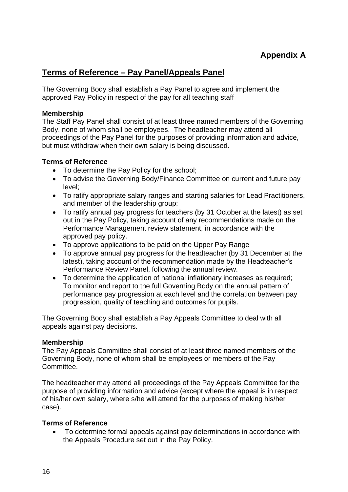## **Terms of Reference – Pay Panel/Appeals Panel**

The Governing Body shall establish a Pay Panel to agree and implement the approved Pay Policy in respect of the pay for all teaching staff

#### **Membership**

The Staff Pay Panel shall consist of at least three named members of the Governing Body, none of whom shall be employees. The headteacher may attend all proceedings of the Pay Panel for the purposes of providing information and advice, but must withdraw when their own salary is being discussed.

#### **Terms of Reference**

- To determine the Pay Policy for the school;
- To advise the Governing Body/Finance Committee on current and future pay level;
- To ratify appropriate salary ranges and starting salaries for Lead Practitioners, and member of the leadership group;
- To ratify annual pay progress for teachers (by 31 October at the latest) as set out in the Pay Policy, taking account of any recommendations made on the Performance Management review statement, in accordance with the approved pay policy.
- To approve applications to be paid on the Upper Pay Range
- To approve annual pay progress for the headteacher (by 31 December at the latest), taking account of the recommendation made by the Headteacher's Performance Review Panel, following the annual review.
- To determine the application of national inflationary increases as required; To monitor and report to the full Governing Body on the annual pattern of performance pay progression at each level and the correlation between pay progression, quality of teaching and outcomes for pupils.

The Governing Body shall establish a Pay Appeals Committee to deal with all appeals against pay decisions.

#### **Membership**

The Pay Appeals Committee shall consist of at least three named members of the Governing Body, none of whom shall be employees or members of the Pay Committee.

The headteacher may attend all proceedings of the Pay Appeals Committee for the purpose of providing information and advice (except where the appeal is in respect of his/her own salary, where s/he will attend for the purposes of making his/her case).

#### **Terms of Reference**

• To determine formal appeals against pay determinations in accordance with the Appeals Procedure set out in the Pay Policy.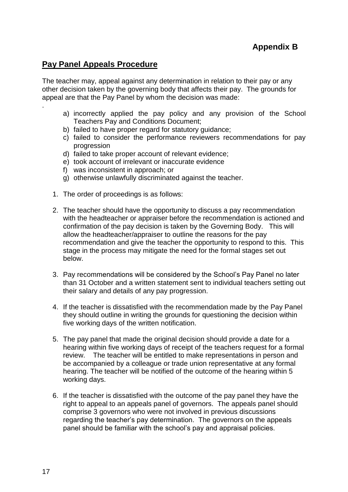## **Pay Panel Appeals Procedure**

.

The teacher may, appeal against any determination in relation to their pay or any other decision taken by the governing body that affects their pay. The grounds for appeal are that the Pay Panel by whom the decision was made:

- a) incorrectly applied the pay policy and any provision of the School Teachers Pay and Conditions Document;
- b) failed to have proper regard for statutory guidance;
- c) failed to consider the performance reviewers recommendations for pay progression
- d) failed to take proper account of relevant evidence;
- e) took account of irrelevant or inaccurate evidence
- f) was inconsistent in approach; or
- g) otherwise unlawfully discriminated against the teacher.
- 1. The order of proceedings is as follows:
- 2. The teacher should have the opportunity to discuss a pay recommendation with the headteacher or appraiser before the recommendation is actioned and confirmation of the pay decision is taken by the Governing Body. This will allow the headteacher/appraiser to outline the reasons for the pay recommendation and give the teacher the opportunity to respond to this. This stage in the process may mitigate the need for the formal stages set out below.
- 3. Pay recommendations will be considered by the School's Pay Panel no later than 31 October and a written statement sent to individual teachers setting out their salary and details of any pay progression.
- 4. If the teacher is dissatisfied with the recommendation made by the Pay Panel they should outline in writing the grounds for questioning the decision within five working days of the written notification.
- 5. The pay panel that made the original decision should provide a date for a hearing within five working days of receipt of the teachers request for a formal review. The teacher will be entitled to make representations in person and be accompanied by a colleague or trade union representative at any formal hearing. The teacher will be notified of the outcome of the hearing within 5 working days.
- 6. If the teacher is dissatisfied with the outcome of the pay panel they have the right to appeal to an appeals panel of governors. The appeals panel should comprise 3 governors who were not involved in previous discussions regarding the teacher's pay determination. The governors on the appeals panel should be familiar with the school's pay and appraisal policies.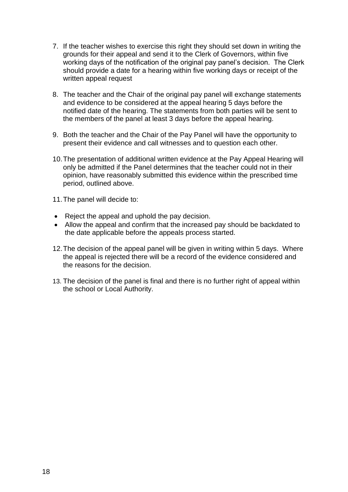- 7. If the teacher wishes to exercise this right they should set down in writing the grounds for their appeal and send it to the Clerk of Governors, within five working days of the notification of the original pay panel's decision. The Clerk should provide a date for a hearing within five working days or receipt of the written appeal request
- 8. The teacher and the Chair of the original pay panel will exchange statements and evidence to be considered at the appeal hearing 5 days before the notified date of the hearing. The statements from both parties will be sent to the members of the panel at least 3 days before the appeal hearing.
- 9. Both the teacher and the Chair of the Pay Panel will have the opportunity to present their evidence and call witnesses and to question each other.
- 10.The presentation of additional written evidence at the Pay Appeal Hearing will only be admitted if the Panel determines that the teacher could not in their opinion, have reasonably submitted this evidence within the prescribed time period, outlined above.
- 11.The panel will decide to:
- Reject the appeal and uphold the pay decision.
- Allow the appeal and confirm that the increased pay should be backdated to the date applicable before the appeals process started.
- 12.The decision of the appeal panel will be given in writing within 5 days. Where the appeal is rejected there will be a record of the evidence considered and the reasons for the decision.
- 13. The decision of the panel is final and there is no further right of appeal within the school or Local Authority.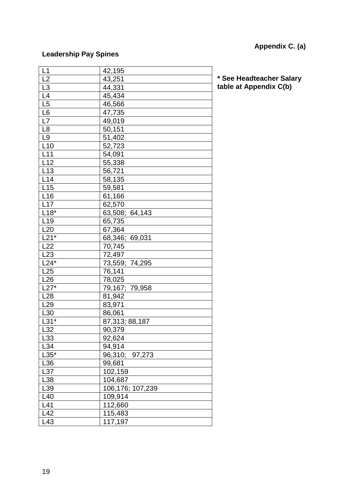# **Appendix C. (a)**

## **Leadership Pay Spines**

| L1                 | 42,195           |
|--------------------|------------------|
| L2                 | 43,251           |
| L <sub>3</sub>     | 44,331           |
| L4                 | 45,434           |
| L5                 | 46,566           |
| L <sub>6</sub>     | 47,735           |
| L7                 | 49,019           |
| L <sub>8</sub>     | 50,151           |
| L <sub>9</sub>     | 51,402           |
| L10                | 52,723           |
| L11                | 54,091           |
| L12                | 55,338           |
| L13                | 56,721           |
| L14                | 58,135           |
| L15                | 59,581           |
| L16                | 61,166           |
| L17                | 62,570           |
| $\overline{118^*}$ | 63,508; 64,143   |
| L19                | 65,735           |
| L20                | 67,364           |
| $L21*$             | 68,346; 69,031   |
| L22                | 70,745           |
| L23                | 72,497           |
| $L24*$             | 73,559; 74,295   |
| L25                | 76,141           |
| L26                | 78,025           |
| $L27*$             | 79,167; 79,958   |
| L28                | 81,942           |
| L <sub>29</sub>    | 83,971           |
| L30                | 86,061           |
| $L31*$             | 87,313; 88,187   |
| L32                | 90,379           |
| L33                | 92,624           |
| L34                | 94,914           |
| $L35*$             | 96,310; 97,273   |
| L36                | 99,681           |
| L37                | 102,159          |
| L38                | 104,687          |
| L39                | 106,176; 107,239 |
| L40                | 109,914          |
| L41                | 112,660          |
| L42                | 115,483          |
| L43                | 117,197          |

**\* See Headteacher Salary table at Appendix C(b)**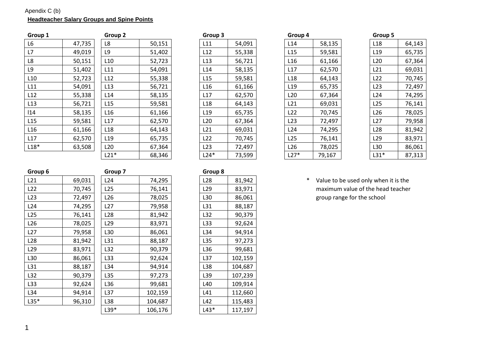#### Apendix C (b) **Headteacher Salary Groups and Spine Points**

| Group 1 |        | Group 2         |        | Group 3         |        | Group 4         |        | Group 5         |        |
|---------|--------|-----------------|--------|-----------------|--------|-----------------|--------|-----------------|--------|
| L6      | 47,735 | L8              | 50,151 | L11             | 54,091 | L14             | 58,135 | L18             | 64,143 |
| L7      | 49,019 | L9              | 51,402 | L12             | 55,338 | L <sub>15</sub> | 59,581 | L <sub>19</sub> | 65,735 |
| L8      | 50,151 | L10             | 52,723 | L13             | 56,721 | L <sub>16</sub> | 61,166 | L20             | 67,364 |
| L9      | 51,402 | L11             | 54,091 | L14             | 58,135 | L17             | 62,570 | L21             | 69,031 |
| L10     | 52,723 | L12             | 55,338 | L15             | 59,581 | L <sub>18</sub> | 64,143 | L <sub>22</sub> | 70,745 |
| L11     | 54,091 | L13             | 56,721 | L <sub>16</sub> | 61,166 | L <sub>19</sub> | 65,735 | L23             | 72,497 |
| L12     | 55,338 | L14             | 58,135 | L17             | 62,570 | L20             | 67,364 | L24             | 74,295 |
| L13     | 56,721 | L15             | 59,581 | L <sub>18</sub> | 64,143 | L <sub>21</sub> | 69,031 | L25             | 76,141 |
| 14      | 58,135 | L16             | 61,166 | L <sub>19</sub> | 65,735 | L22             | 70,745 | L26             | 78,025 |
| L15     | 59,581 | L17             | 62,570 | L <sub>20</sub> | 67,364 | L <sub>23</sub> | 72,497 | L27             | 79,958 |
| L16     | 61,166 | L <sub>18</sub> | 64,143 | L21             | 69,031 | L24             | 74,295 | L <sub>28</sub> | 81,942 |
| L17     | 62,570 | L <sub>19</sub> | 65,735 | L22             | 70,745 | L <sub>25</sub> | 76,141 | L <sub>29</sub> | 83,971 |
| $L18*$  | 63,508 | L20             | 67,364 | L <sub>23</sub> | 72,497 | L <sub>26</sub> | 78,025 | L30             | 86,061 |
|         |        |                 |        |                 |        |                 |        |                 |        |

| Group 2         |        |
|-----------------|--------|
| L8              | 50,151 |
| L9              | 51,402 |
| L <sub>10</sub> | 52,723 |
| L11             | 54,091 |
| L12             | 55,338 |
| L13             | 56,721 |
| L14             | 58,135 |
| L <sub>15</sub> | 59,581 |
| L16             | 61,166 |
| L17             | 62,570 |
| L18             | 64,143 |
| L <sub>19</sub> | 65,735 |
| L <sub>20</sub> | 67,364 |
| $L21*$          | 68,346 |

| Group <sub>2</sub> |        | Group 3         |        |  | Group 4         |        |  | Group 5         |        |  |
|--------------------|--------|-----------------|--------|--|-----------------|--------|--|-----------------|--------|--|
| L8                 | 50,151 | L11             | 54,091 |  | L14             | 58,135 |  | L <sub>18</sub> | 64,143 |  |
| L9                 | 51,402 | L12             | 55,338 |  | L15             | 59,581 |  | L <sub>19</sub> | 65,735 |  |
| L10                | 52,723 | L13             | 56,721 |  | L <sub>16</sub> | 61,166 |  | L <sub>20</sub> | 67,364 |  |
| L11                | 54,091 | L14             | 58,135 |  | L17             | 62,570 |  | L <sub>21</sub> | 69,031 |  |
| L12                | 55,338 | L15             | 59,581 |  | L <sub>18</sub> | 64,143 |  | L22             | 70,745 |  |
| L <sub>13</sub>    | 56,721 | L <sub>16</sub> | 61,166 |  | L <sub>19</sub> | 65,735 |  | L23             | 72,497 |  |
| L14                | 58,135 | L17             | 62,570 |  | L <sub>20</sub> | 67,364 |  | L24             | 74,295 |  |
| L <sub>15</sub>    | 59,581 | L <sub>18</sub> | 64,143 |  | L21             | 69,031 |  | L <sub>25</sub> | 76,141 |  |
| L16                | 61,166 | L <sub>19</sub> | 65,735 |  | L22             | 70,745 |  | L26             | 78,025 |  |
| L17                | 62,570 | L20             | 67,364 |  | L23             | 72,497 |  | L27             | 79,958 |  |
| L18                | 64,143 | L21             | 69,031 |  | L24             | 74,295 |  | L <sub>28</sub> | 81,942 |  |
| L <sub>19</sub>    | 65,735 | L <sub>22</sub> | 70,745 |  | L25             | 76,141 |  | L <sub>29</sub> | 83,971 |  |
| L20                | 67,364 | L23             | 72,497 |  | L26             | 78,025 |  | L30             | 86,061 |  |
| $L21*$             | 68,346 | $L24*$          | 73,599 |  | $L27*$          | 79,167 |  | $L31*$          | 87,313 |  |

| Group 5         |        |
|-----------------|--------|
| L18             | 64,143 |
| L19             | 65,735 |
| L <sub>20</sub> | 67,364 |
| L21             | 69,031 |
| L22             | 70,745 |
| L23             | 72,497 |
| L24             | 74,295 |
| L25             | 76,141 |
| L26             | 78,025 |
| L27             | 79,958 |
| L28             | 81,942 |
| L <sub>29</sub> | 83,971 |
| L30             | 86,061 |
| L31*            | 87,313 |

\* Value to be used only when it is the maximum value of the head teacher group range for the school

| 121    | 69,031 |
|--------|--------|
| 122    | 70,745 |
| L23    | 72,497 |
| l 24   | 74,295 |
| L25    | 76,141 |
| L26    | 78,025 |
| L27    | 79,958 |
| L28    | 81,942 |
| L29    | 83,971 |
| L30    | 86,061 |
| L31    | 88,187 |
| L32    | 90,379 |
| L33    | 92,624 |
| L34    | 94,914 |
| $135*$ | 96,310 |
|        |        |

| Group 6         |        | Group 7         |         | Group 8         |         |
|-----------------|--------|-----------------|---------|-----------------|---------|
| L21             | 69,031 | L <sub>24</sub> | 74,295  | L <sub>28</sub> | 81,942  |
| L22             | 70,745 | L <sub>25</sub> | 76,141  | L <sub>29</sub> | 83,971  |
| L23             | 72,497 | L <sub>26</sub> | 78,025  | L30             | 86,061  |
| L24             | 74,295 | L <sub>27</sub> | 79,958  | L31             | 88,187  |
| L25             | 76,141 | L <sub>28</sub> | 81,942  | L32             | 90,379  |
| L26             | 78,025 | L <sub>29</sub> | 83,971  | L33             | 92,624  |
| L27             | 79,958 | L30             | 86,061  | L34             | 94,914  |
| L <sub>28</sub> | 81,942 | L31             | 88,187  | L35             | 97,273  |
| L <sub>29</sub> | 83,971 | L32             | 90,379  | L36             | 99,681  |
| L30             | 86,061 | L33             | 92,624  | L37             | 102,159 |
| L31             | 88,187 | L34             | 94,914  | L38             | 104,687 |
| L32             | 90,379 | L35             | 97,273  | L39             | 107,239 |
| L33             | 92,624 | L36             | 99,681  | L40             | 109,914 |
| L34             | 94,914 | L37             | 102,159 | L41             | 112,660 |
| $L35*$          | 96,310 | L38             | 104,687 | L42             | 115,483 |
|                 |        | $L39*$          | 106,176 | $L43*$          | 117,197 |

| uroup 8 |         |
|---------|---------|
| L28     | 81,942  |
| L29     | 83,971  |
| L30     | 86,061  |
| L31     | 88,187  |
| L32     | 90,379  |
| L33     | 92,624  |
| L34     | 94,914  |
| L35     | 97,273  |
| L36     | 99,681  |
| L37     | 102,159 |
| L38     | 104,687 |
| L39     | 107,239 |
| L40     | 109,914 |
| L41     | 112,660 |
| L42     | 115,483 |
| $143*$  | 117,197 |
|         |         |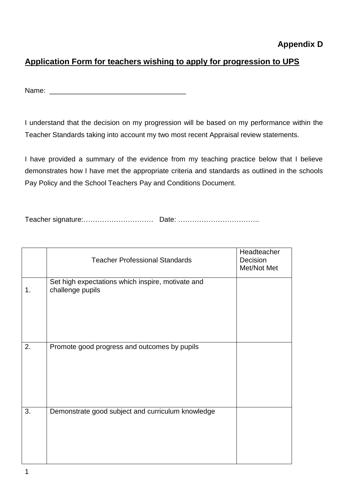# **Application Form for teachers wishing to apply for progression to UPS**

Name:  $\blacksquare$ 

I understand that the decision on my progression will be based on my performance within the Teacher Standards taking into account my two most recent Appraisal review statements.

I have provided a summary of the evidence from my teaching practice below that I believe demonstrates how I have met the appropriate criteria and standards as outlined in the schools Pay Policy and the School Teachers Pay and Conditions Document.

Teacher signature:………………………… Date: ……………………………..

|    | <b>Teacher Professional Standards</b>                                 | Headteacher<br>Decision<br>Met/Not Met |
|----|-----------------------------------------------------------------------|----------------------------------------|
| 1. | Set high expectations which inspire, motivate and<br>challenge pupils |                                        |
| 2. | Promote good progress and outcomes by pupils                          |                                        |
| 3. | Demonstrate good subject and curriculum knowledge                     |                                        |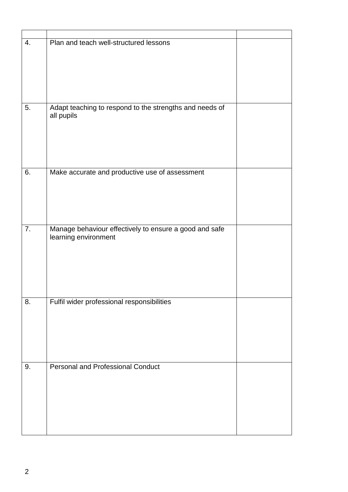| 4. | Plan and teach well-structured lessons                                |  |
|----|-----------------------------------------------------------------------|--|
|    |                                                                       |  |
|    |                                                                       |  |
|    |                                                                       |  |
| 5. | Adapt teaching to respond to the strengths and needs of<br>all pupils |  |
|    |                                                                       |  |
|    |                                                                       |  |
|    |                                                                       |  |
| 6. | Make accurate and productive use of assessment                        |  |
|    |                                                                       |  |
|    |                                                                       |  |
| 7. | Manage behaviour effectively to ensure a good and safe                |  |
|    | learning environment                                                  |  |
|    |                                                                       |  |
|    |                                                                       |  |
|    |                                                                       |  |
| 8. | Fulfil wider professional responsibilities                            |  |
|    |                                                                       |  |
|    |                                                                       |  |
|    |                                                                       |  |
| 9. | <b>Personal and Professional Conduct</b>                              |  |
|    |                                                                       |  |
|    |                                                                       |  |
|    |                                                                       |  |
|    |                                                                       |  |